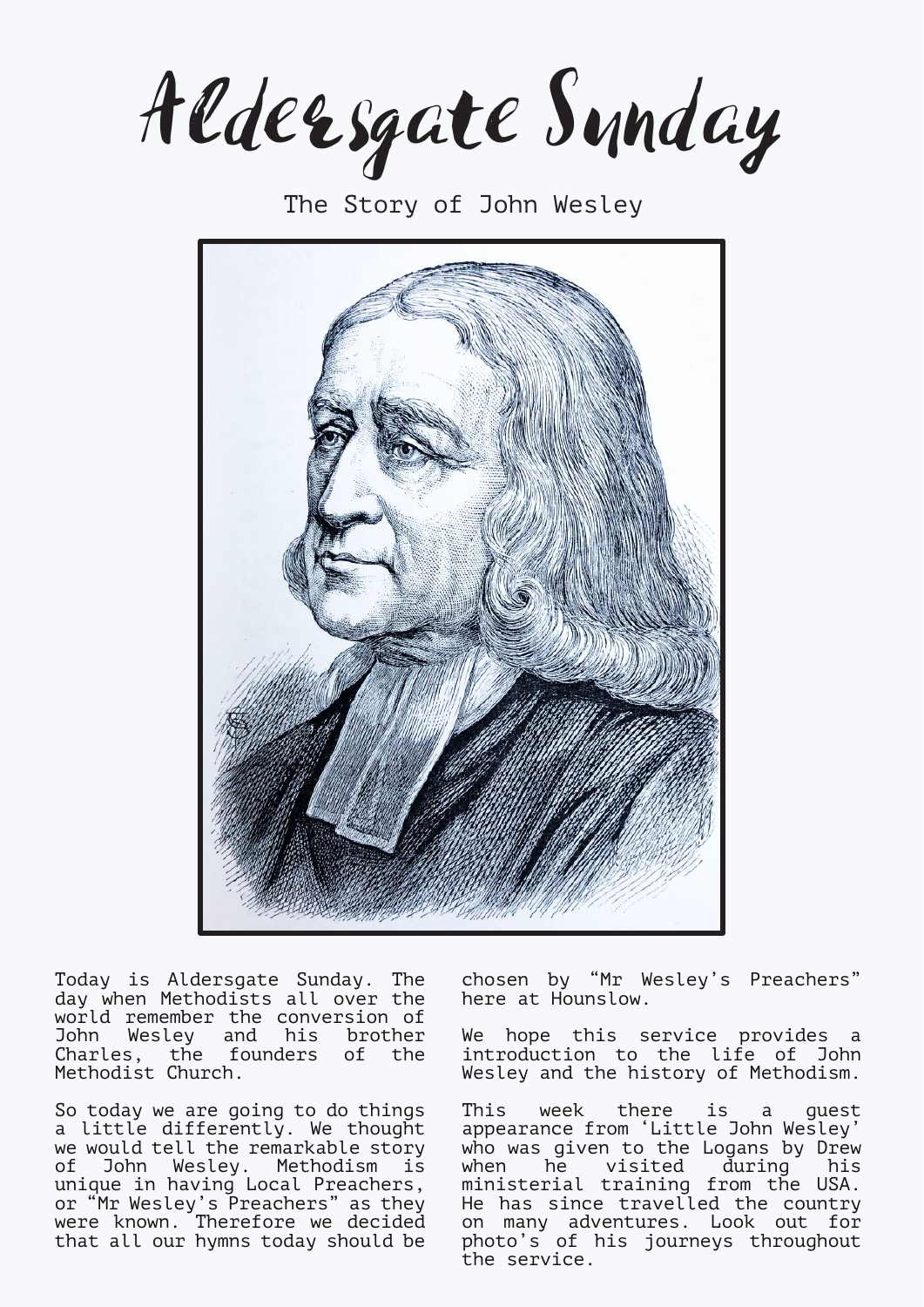Aldersgate Sunday

The Story of John Wesley



Today is Aldersgate Sunday. The day when Methodists all over the world remember the conversion of John Wesley and his brother Charles, the founders of the Methodist Church.

So today we are going to do things a little differently. We thought we would tell the remarkable story of John Wesley. Methodism is unique in having Local Preachers, or "Mr Wesley's Preachers" as they were known. Therefore we decided that all our hymns today should be

chosen by "Mr Wesley's Preachers" here at Hounslow.

We hope this service provides a introduction to the life of John Wesley and the history of Methodism.

This week there is a guest appearance from 'Little John Wesley' who was given to the Logans by Drew when he visited during his ministerial training from the USA. He has since travelled the country on many adventures. Look out for photo's of his journeys throughout the service.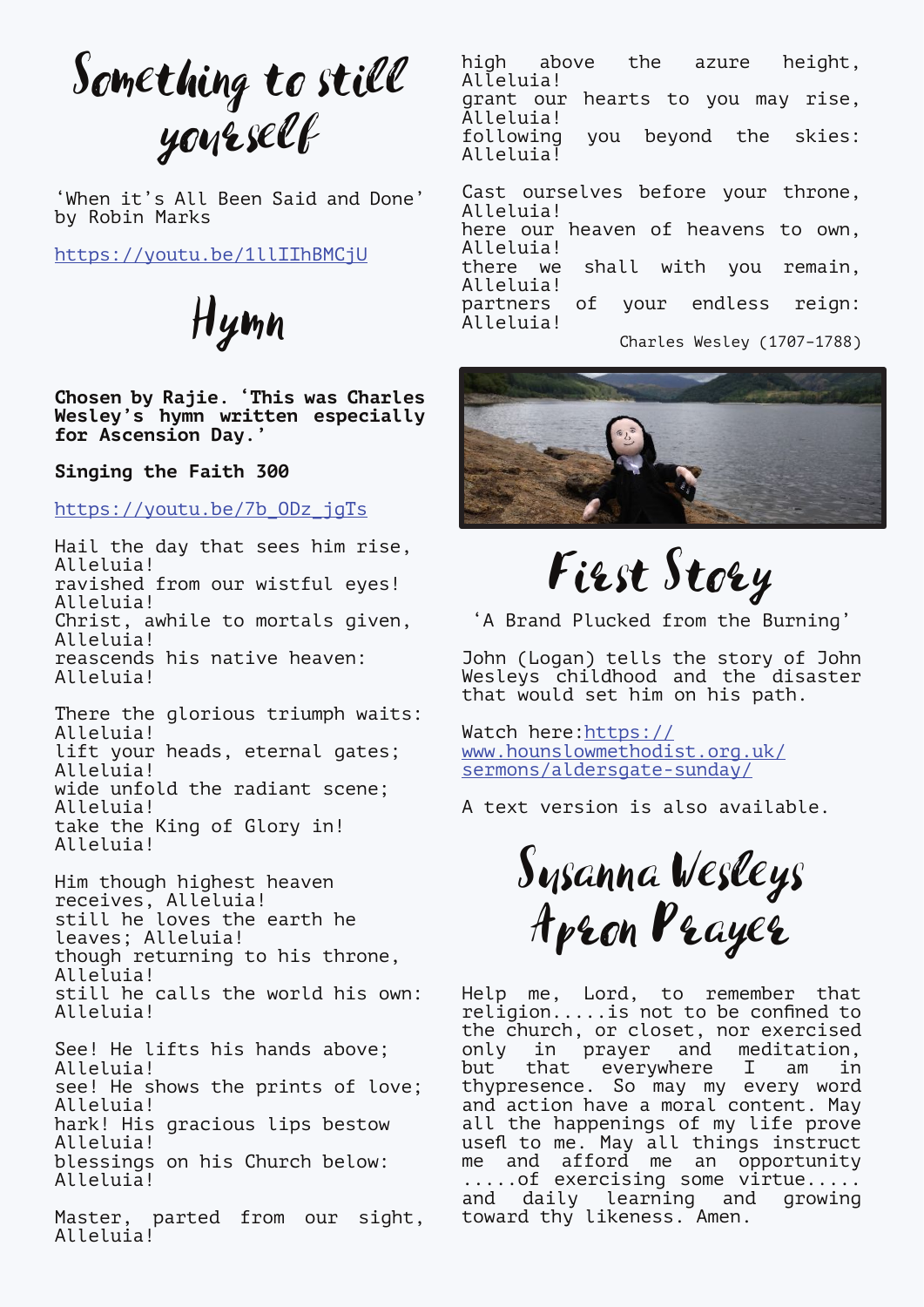Something to still yourself

'When it's All Been Said and Done' by Robin Marks

<https://youtu.be/1llIIhBMCjU>

Hymn

**Chosen by Rajie. 'This was Charles Wesley's hymn written especially for Ascension Day.'**

**Singing the Faith 300**

[https://youtu.be/7b\\_ODz\\_jgTs](https://youtu.be/7b_ODz_jgTs)

Hail the day that sees him rise, Alleluia! ravished from our wistful eyes! Alleluia! Christ, awhile to mortals given, Alleluia! reascends his native heaven: Alleluia!

There the glorious triumph waits: Alleluia! lift your heads, eternal gates; Alleluia! wide unfold the radiant scene; Alleluia! take the King of Glory in! Alleluia!

Him though highest heaven receives, Alleluia! still he loves the earth he leaves; Alleluia! though returning to his throne, Alleluia! still he calls the world his own: Alleluia!

See! He lifts his hands above; Alleluia! see! He shows the prints of love; Alleluia! hark! His gracious lips bestow Alleluia! blessings on his Church below: Alleluia!

Master, parted from our sight, Alleluia!

high above the azure height, Alleluia! grant our hearts to you may rise, Alleluia! you beyond the skies: Alleluia! Cast ourselves before your throne, Alleluia! here our heaven of heavens to own, Alleluia!<br>there we shall with you remain. Alleluia!<br>partners of your endless reign: Alleluia!

Charles Wesley (1707–1788)



First Story

'A Brand Plucked from the Burning'

John (Logan) tells the story of John Wesleys childhood and the disaster that would set him on his path.

Watch here: [https://](https://www.hounslowmethodist.org.uk/sermons/aldersgate-sunday/) [www.hounslowmethodist.org.uk/](https://www.hounslowmethodist.org.uk/sermons/aldersgate-sunday/) [sermons/aldersgate-sunday/](https://www.hounslowmethodist.org.uk/sermons/aldersgate-sunday/)

A text version is also available.

Susanna Wesleys Apron Prayer

Help me, Lord, to remember that religion.....is not to be confined to the church, or closet, nor exercised only in prayer and meditation, but that everywhere I am in thypresence. So may my every word and action have a moral content. May all the happenings of my life prove usefl to me. May all things instruct me and afford me an opportunity .....of exercising some virtue..... and daily learning and growing toward thy likeness. Amen.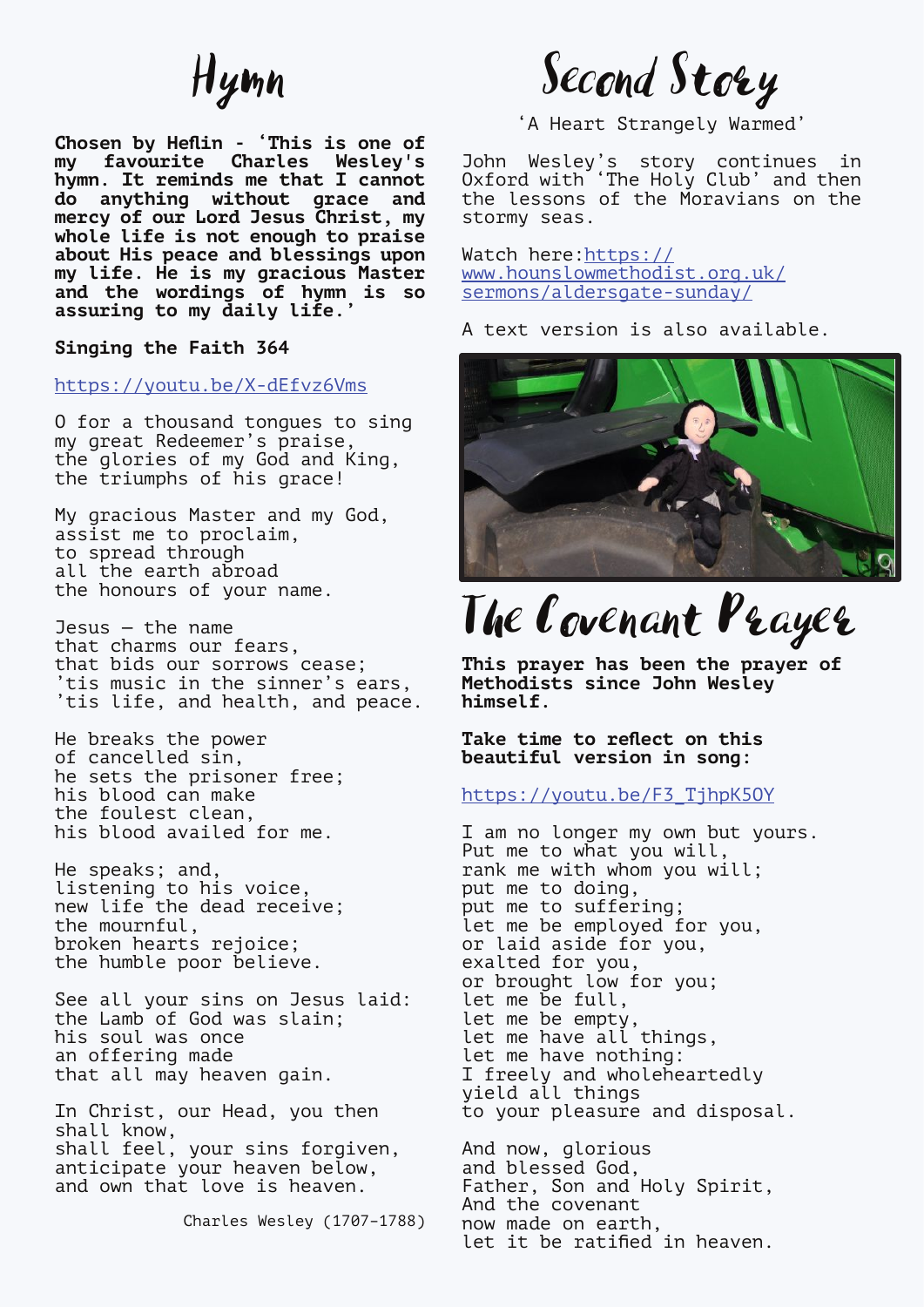## Hymn

**Chosen by Heflin - 'This is one of my favourite Charles Wesley's hymn. It reminds me that I cannot do anything without grace and mercy of our Lord Jesus Christ, my whole life is not enough to praise about His peace and blessings upon my life. He is my gracious Master and the wordings of hymn is so assuring to my daily life.'**

**Singing the Faith 364**

<https://youtu.be/X-dEfvz6Vms>

O for a thousand tongues to sing my great Redeemer's praise, the glories of my God and King, the triumphs of his grace!

My gracious Master and my God, assist me to proclaim, to spread through all the earth abroad the honours of your name.

Jesus — the name that charms our fears, that bids our sorrows cease; 'tis music in the sinner's ears, 'tis life, and health, and peace.

He breaks the power of cancelled sin, he sets the prisoner free; his blood can make the foulest clean, his blood availed for me.

He speaks; and, listening to his voice, new life the dead receive; the mournful, broken hearts rejoice; the humble poor believe.

See all your sins on Jesus laid: the Lamb of God was slain; his soul was once an offering made that all may heaven gain.

In Christ, our Head, you then shall know, shall feel, your sins forgiven, anticipate your heaven below, and own that love is heaven.

Charles Wesley (1707–1788)

Second Story

'A Heart Strangely Warmed'

John Wesley's story continues in Oxford with 'The Holy Club' and then the lessons of the Moravians on the stormy seas.

Watch here:[https://](https://www.hounslowmethodist.org.uk/sermons/aldersgate-sunday/) [www.hounslowmethodist.org.uk/](https://www.hounslowmethodist.org.uk/sermons/aldersgate-sunday/) [sermons/aldersgate-sunday/](https://www.hounslowmethodist.org.uk/sermons/aldersgate-sunday/)

A text version is also available.



The Covenant Prayer

**This prayer has been the prayer of Methodists since John Wesley himself.**

**Take time to reflect on this beautiful version in song:**

[https://youtu.be/F3\\_TjhpK5OY](https://youtu.be/F3_TjhpK5OY)

I am no longer my own but yours. Put me to what you will, rank me with whom you will; put me to doing, put me to suffering; let me be employed for you, or laid aside for you, exalted for you, or brought low for you; let me be full, let me be empty, let me have all things, let me have nothing: I freely and wholeheartedly yield all things to your pleasure and disposal.

And now, glorious and blessed God, Father, Son and Holy Spirit, And the covenant now made on earth, let it be ratified in heaven.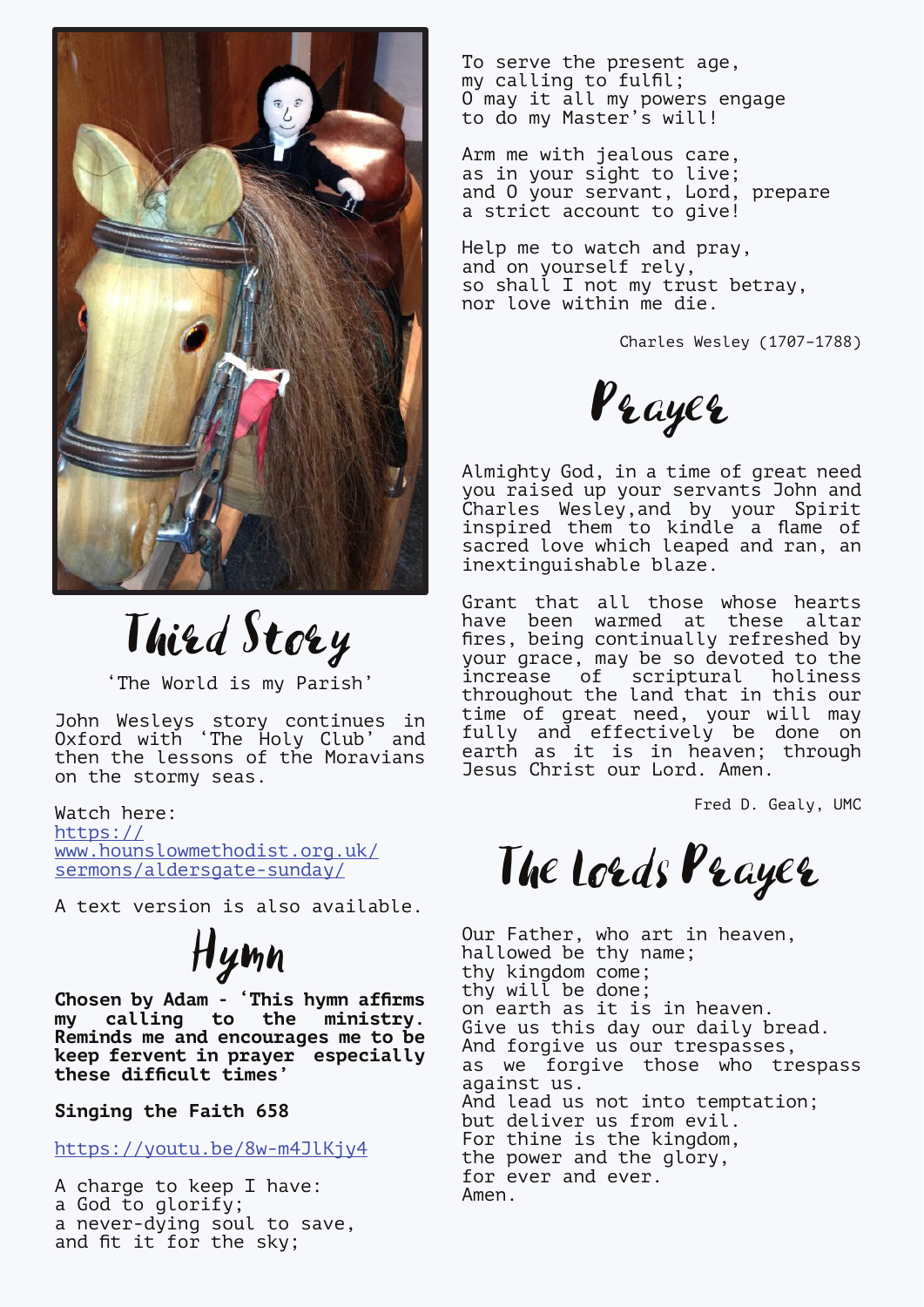

Third Story

'The World is my Parish'

John Wesleys story continues in Oxford with 'The Holy Club' and then the lessons of the Moravians on the stormy seas.

Watch here: [https://](https://www.hounslowmethodist.org.uk/sermons/aldersgate-sunday/) [www.hounslowmethodist.org.uk/](https://www.hounslowmethodist.org.uk/sermons/aldersgate-sunday/) [sermons/aldersgate-sunday/](https://www.hounslowmethodist.org.uk/sermons/aldersgate-sunday/)

A text version is also available.

Hymn

**Chosen by Adam - 'This hymn affirms my calling to the ministry. Reminds me and encourages me to be keep fervent in prayer especially these difficult times'**

**Singing the Faith 658**

<https://youtu.be/8w-m4JlKjy4>

A charge to keep I have: a God to glorify; a never-dying soul to save, and fit it for the sky;

To serve the present age, my calling to fulfil; O may it all my powers engage to do my Master's will!

Arm me with jealous care, as in your sight to live; and O your servant, Lord, prepare a strict account to give!

Help me to watch and pray, and on yourself rely, so shall I not my trust betray, nor love within me die.

Charles Wesley (1707–1788)

Prayer

Almighty God, in a time of great need you raised up your servants John and Charles Wesley,and by your Spirit inspired them to kindle a flame of sacred love which leaped and ran, an inextinguishable blaze.

Grant that all those whose hearts have been warmed at these altar fires, being continually refreshed by your grace, may be so devoted to the increase of scriptural holiness throughout the land that in this our time of great need, your will may fully and effectively be done on earth as it is in heaven; through Jesus Christ our Lord. Amen.

Fred D. Gealy, UMC

The Lords Prayer

Our Father, who art in heaven, hallowed be thy name; thy kingdom come; thy will be done; on earth as it is in heaven. Give us this day our daily bread. And forgive us our trespasses, as we forgive those who trespass against us. And lead us not into temptation; but deliver us from evil. For thine is the kingdom, the power and the glory, for ever and ever. Amen.